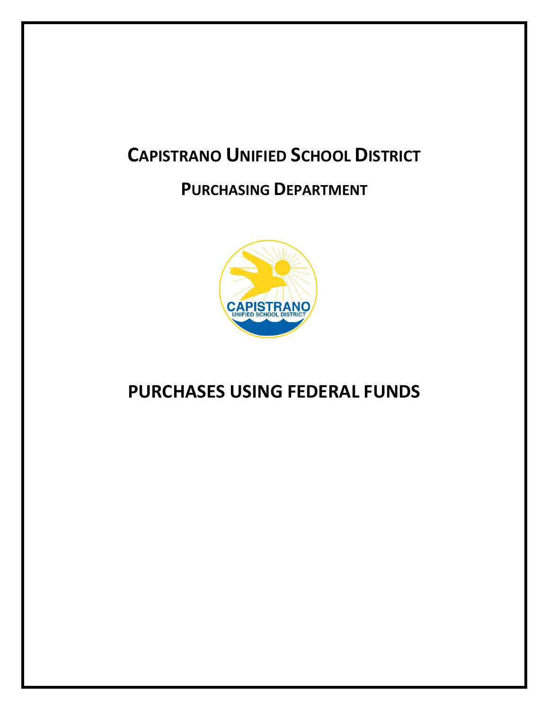# **CAPISTRANO UNIFIED SCHOOL DISTRICT**

## **PURCHASING DEPARTMENT**



## **PURCHASES USING FEDERAL FUNDS**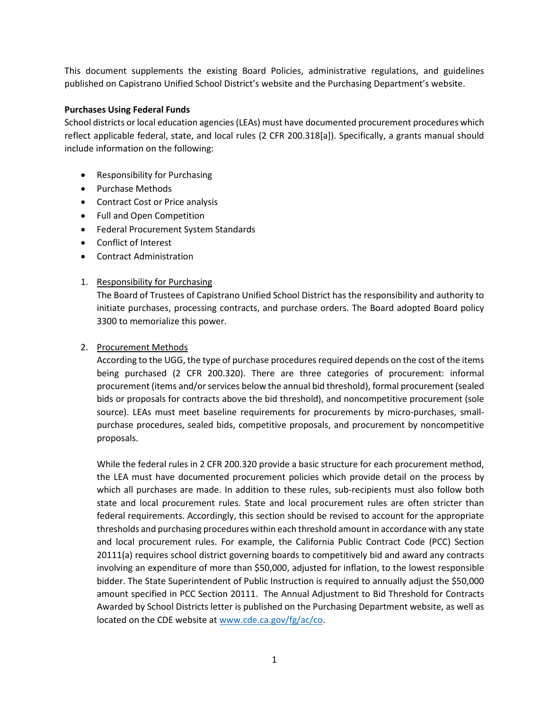This document supplements the existing Board Policies, administrative regulations, and guidelines published on Capistrano Unified School District's website and the Purchasing Department's website.

#### **Purchases Using Federal Funds**

School districts or local education agencies (LEAs) must have documented procurement procedures which reflect applicable federal, state, and local rules (2 CFR 200.318[a]). Specifically, a grants manual should include information on the following:

- Responsibility for Purchasing
- Purchase Methods
- Contract Cost or Price analysis
- Full and Open Competition
- Federal Procurement System Standards
- Conflict of Interest
- Contract Administration
- 1. Responsibility for Purchasing

The Board of Trustees of Capistrano Unified School District has the responsibility and authority to initiate purchases, processing contracts, and purchase orders. The Board adopted Board policy 3300 to memorialize this power.

## 2. Procurement Methods

According to the UGG, the type of purchase procedures required depends on the cost of the items being purchased (2 CFR 200.320). There are three categories of procurement: informal procurement (items and/or services below the annual bid threshold), formal procurement (sealed bids or proposals for contracts above the bid threshold), and noncompetitive procurement (sole source). LEAs must meet baseline requirements for procurements by micro-purchases, smallpurchase procedures, sealed bids, competitive proposals, and procurement by noncompetitive proposals.

While the federal rules in 2 CFR 200.320 provide a basic structure for each procurement method, the LEA must have documented procurement policies which provide detail on the process by which all purchases are made. In addition to these rules, sub-recipients must also follow both state and local procurement rules. State and local procurement rules are often stricter than federal requirements. Accordingly, this section should be revised to account for the appropriate thresholds and purchasing procedures within each threshold amount in accordance with any state and local procurement rules. For example, the California Public Contract Code (PCC) Section 20111(a) requires school district governing boards to competitively bid and award any contracts involving an expenditure of more than \$50,000, adjusted for inflation, to the lowest responsible bidder. The State Superintendent of Public Instruction is required to annually adjust the \$50,000 amount specified in PCC Section 20111. The Annual Adjustment to Bid Threshold for Contracts Awarded by School Districts letter is published on the Purchasing Department website, as well as located on the CDE website a[t www.cde.ca.gov/fg/ac/co.](http://www.cde.ca.gov/fg/ac/co)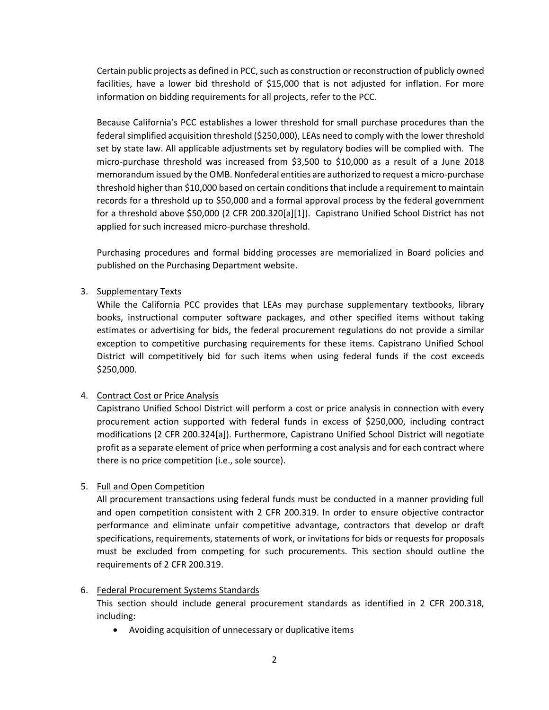Certain public projects as defined in PCC, such as construction or reconstruction of publicly owned facilities, have a lower bid threshold of \$15,000 that is not adjusted for inflation. For more information on bidding requirements for all projects, refer to the PCC.

Because California's PCC establishes a lower threshold for small purchase procedures than the federal simplified acquisition threshold (\$250,000), LEAs need to comply with the lower threshold set by state law. All applicable adjustments set by regulatory bodies will be complied with. The micro-purchase threshold was increased from \$3,500 to \$10,000 as a result of a June 2018 memorandum issued by the OMB. Nonfederal entities are authorized to request a micro-purchase threshold higher than \$10,000 based on certain conditions that include a requirement to maintain records for a threshold up to \$50,000 and a formal approval process by the federal government for a threshold above \$50,000 (2 CFR 200.320[a][1]). Capistrano Unified School District has not applied for such increased micro-purchase threshold.

Purchasing procedures and formal bidding processes are memorialized in Board policies and published on the Purchasing Department website.

## 3. Supplementary Texts

While the California PCC provides that LEAs may purchase supplementary textbooks, library books, instructional computer software packages, and other specified items without taking estimates or advertising for bids, the federal procurement regulations do not provide a similar exception to competitive purchasing requirements for these items. Capistrano Unified School District will competitively bid for such items when using federal funds if the cost exceeds \$250,000.

## 4. Contract Cost or Price Analysis

Capistrano Unified School District will perform a cost or price analysis in connection with every procurement action supported with federal funds in excess of \$250,000, including contract modifications (2 CFR 200.324[a]). Furthermore, Capistrano Unified School District will negotiate profit as a separate element of price when performing a cost analysis and for each contract where there is no price competition (i.e., sole source).

## 5. Full and Open Competition

All procurement transactions using federal funds must be conducted in a manner providing full and open competition consistent with 2 CFR 200.319. In order to ensure objective contractor performance and eliminate unfair competitive advantage, contractors that develop or draft specifications, requirements, statements of work, or invitations for bids or requests for proposals must be excluded from competing for such procurements. This section should outline the requirements of 2 CFR 200.319.

## 6. Federal Procurement Systems Standards

This section should include general procurement standards as identified in 2 CFR 200.318, including:

• Avoiding acquisition of unnecessary or duplicative items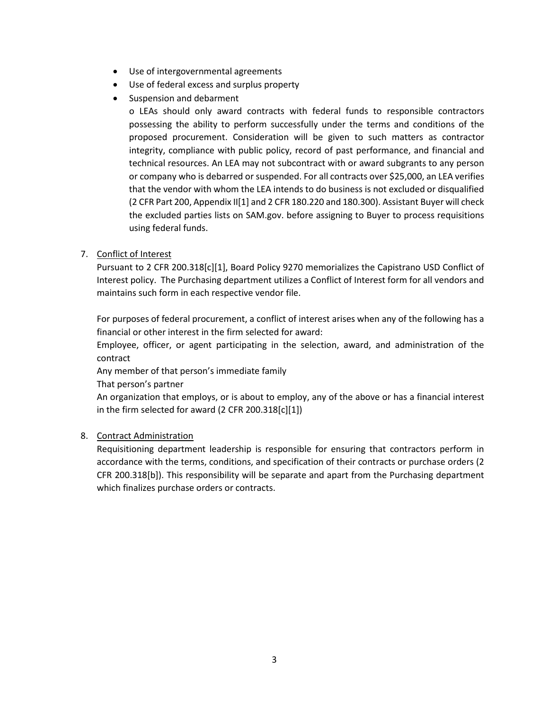- Use of intergovernmental agreements
- Use of federal excess and surplus property
- Suspension and debarment

o LEAs should only award contracts with federal funds to responsible contractors possessing the ability to perform successfully under the terms and conditions of the proposed procurement. Consideration will be given to such matters as contractor integrity, compliance with public policy, record of past performance, and financial and technical resources. An LEA may not subcontract with or award subgrants to any person or company who is debarred or suspended. For all contracts over \$25,000, an LEA verifies that the vendor with whom the LEA intends to do business is not excluded or disqualified (2 CFR Part 200, Appendix II[1] and 2 CFR 180.220 and 180.300). Assistant Buyer will check the excluded parties lists on SAM.gov. before assigning to Buyer to process requisitions using federal funds.

7. Conflict of Interest

Pursuant to 2 CFR 200.318[c][1], Board Policy 9270 memorializes the Capistrano USD Conflict of Interest policy. The Purchasing department utilizes a Conflict of Interest form for all vendors and maintains such form in each respective vendor file.

For purposes of federal procurement, a conflict of interest arises when any of the following has a financial or other interest in the firm selected for award:

Employee, officer, or agent participating in the selection, award, and administration of the contract

Any member of that person's immediate family

That person's partner

An organization that employs, or is about to employ, any of the above or has a financial interest in the firm selected for award (2 CFR 200.318[c][1])

## 8. Contract Administration

Requisitioning department leadership is responsible for ensuring that contractors perform in accordance with the terms, conditions, and specification of their contracts or purchase orders (2 CFR 200.318[b]). This responsibility will be separate and apart from the Purchasing department which finalizes purchase orders or contracts.